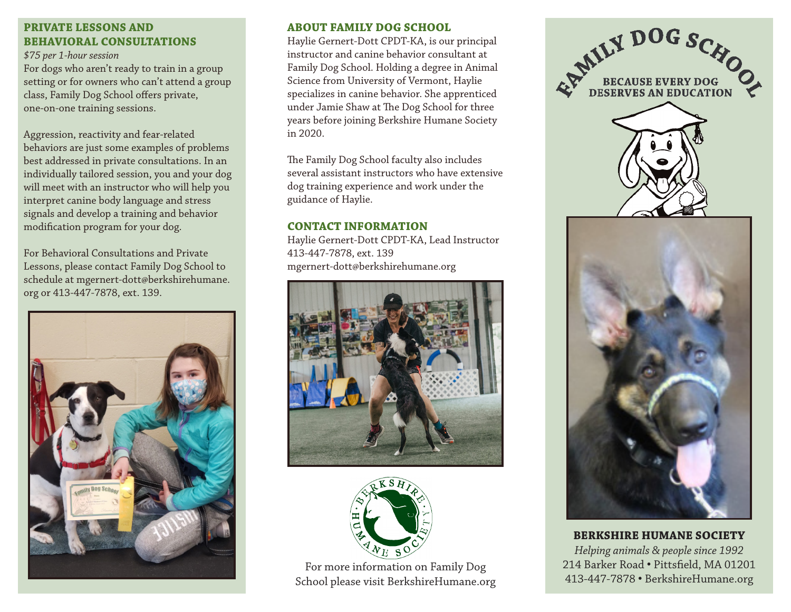## **PRIVATE LESSONS AND BEHAVIORAL CONSULTATIONS**

*\$75 per 1-hour session*

For dogs who aren't ready to train in a group setting or for owners who can't attend a group class, Family Dog School offers private, one-on-one training sessions.

Aggression, reactivity and fear-related behaviors are just some examples of problems best addressed in private consultations. In an individually tailored session, you and your dog will meet with an instructor who will help you interpret canine body language and stress signals and develop a training and behavior modification program for your dog.

For Behavioral Consultations and Private Lessons, please contact Family Dog School to schedule at mgernert-dott@berkshirehumane. org or 413-447-7878, ext. 139.



#### **ABOUT FAMILY DOG SCHOOL**

Haylie Gernert-Dott CPDT-KA, is our principal instructor and canine behavior consultant at Family Dog School. Holding a degree in Animal Science from University of Vermont, Haylie specializes in canine behavior. She apprenticed under Jamie Shaw at The Dog School for three years before joining Berkshire Humane Society in 2020.

The Family Dog School faculty also includes several assistant instructors who have extensive dog training experience and work under the guidance of Haylie.

#### **CONTACT INFORMATION**

Haylie Gernert-Dott CPDT-KA, Lead Instructor 413-447-7878, ext. 139 mgernert-dott@berkshirehumane.org





For more information on Family Dog School please visit BerkshireHumane.org



**BERKSHIRE HUMANE SOCIETY** *Helping animals & people since 1992* 214 Barker Road • Pittsfield, MA 01201 413-447-7878 • BerkshireHumane.org